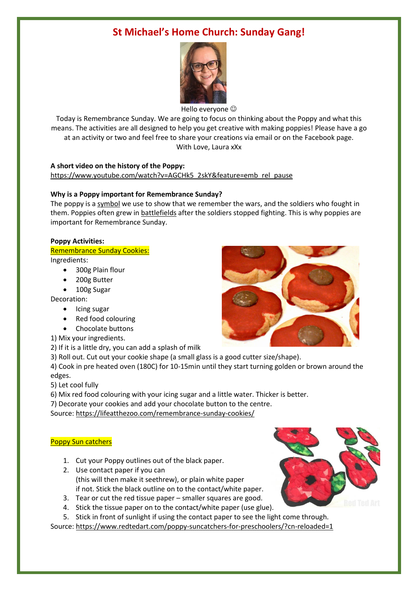# **St Michael's Home Church: Sunday Gang!**



Hello everyone

Today is Remembrance Sunday. We are going to focus on thinking about the Poppy and what this means. The activities are all designed to help you get creative with making poppies! Please have a go at an activity or two and feel free to share your creations via email or on the Facebook page. With Love, Laura xXx

## **A short video on the history of the Poppy:**

[https://www.youtube.com/watch?v=AGCHk5\\_2skY&feature=emb\\_rel\\_pause](https://www.youtube.com/watch?v=AGCHk5_2skY&feature=emb_rel_pause)

## **Why is a Poppy important for Remembrance Sunday?**

The poppy is a [symbol](https://kids.kiddle.co/Symbol) we use to show that we remember the wars, and the soldiers who fought in them. Poppies often grew in **[battlefields](https://kids.kiddle.co/Battle)** after the soldiers stopped fighting. This is why poppies are important for Remembrance Sunday.

### **Poppy Activities:**

- Remembrance Sunday Cookies: Ingredients:
	- 300g Plain flour
	- 200g Butter
	- 100g Sugar

Decoration:

- Icing sugar
- Red food colouring
- Chocolate buttons
- 1) Mix your ingredients.
- 2) If it is a little dry, you can add a splash of milk
- 3) Roll out. Cut out your cookie shape (a small glass is a good cutter size/shape).

4) Cook in pre heated oven (180C) for 10-15min until they start turning golden or brown around the edges.

- 5) Let cool fully
- 6) Mix red food colouring with your icing sugar and a little water. Thicker is better.
- 7) Decorate your cookies and add your chocolate button to the centre.

Source:<https://lifeatthezoo.com/remembrance-sunday-cookies/>

### Poppy Sun catchers

- 1. Cut your Poppy outlines out of the black paper.
- 2. Use contact paper if you can (this will then make it seethrew), or plain white paper if not. Stick the black outline on to the contact/white paper.
- 3. Tear or cut the red tissue paper smaller squares are good.
- 4. Stick the tissue paper on to the contact/white paper (use glue).
- 5. Stick in front of sunlight if using the contact paper to see the light come through.

Source:<https://www.redtedart.com/poppy-suncatchers-for-preschoolers/?cn-reloaded=1>